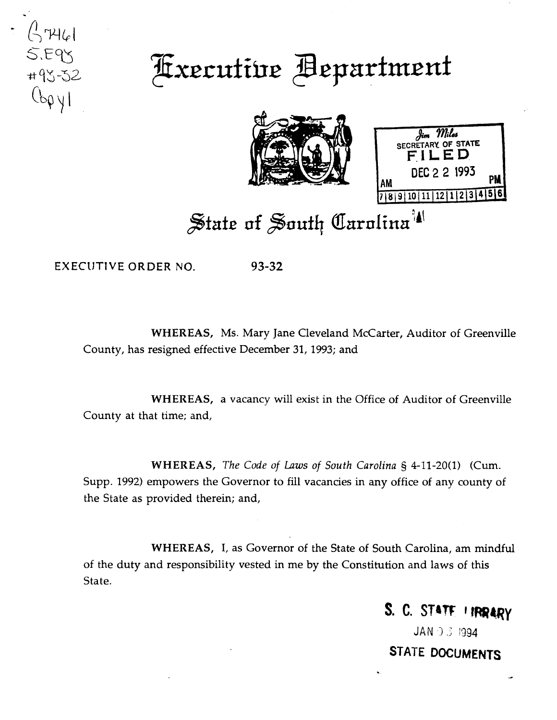

## Fixecutive Bepartment





## State of South Carolina<sup>14</sup>

EXECUTIVE ORDER NO. 93-32

WHEREAS, Ms. Mary Jane Cleveland McCarter, Auditor of Greenville County, has resigned effective December 31, 1993; and

WHEREAS, a vacancy will exist in the Office of Auditor of Greenville County at that time; and,

WHEREAS, *The Code of Laws of South Carolina* § 4-11-20(1) (Cum. Supp. 1992) empowers the Governor to fill vacancies in any office of any county of the State as provided therein; and,

WHEREAS, I, as Governor of the State of South Carolina, am mindful of the duty and responsibility vested in me by the Constitution and laws of this State.

S. C. STATE I IRRARY

 $JAN \supseteq J$  1994. STATE DOCUMENTS